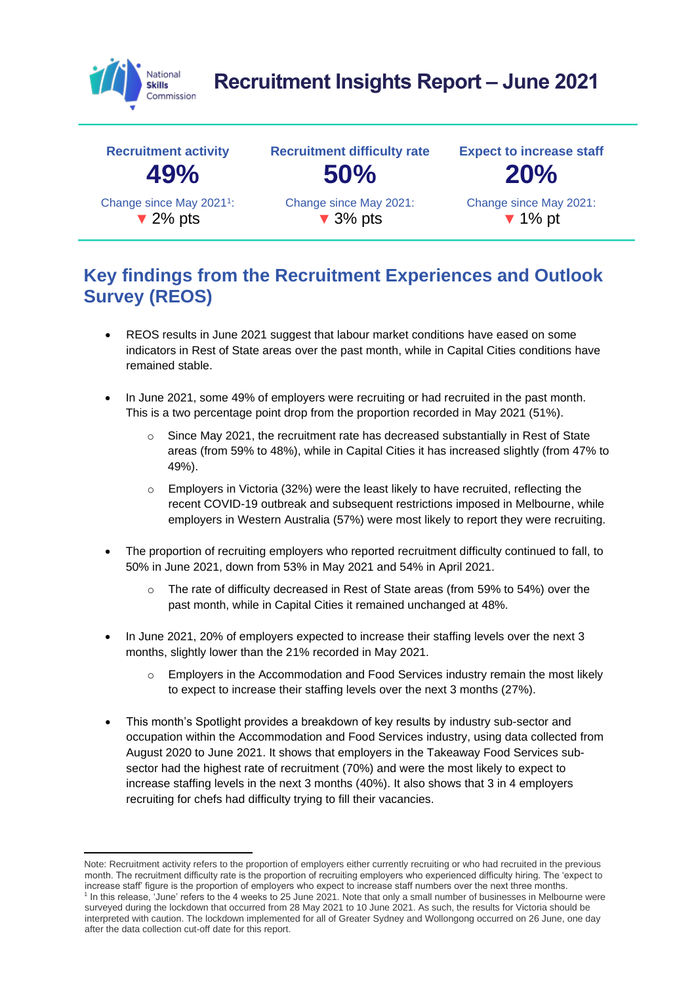

# **Recruitment Insights Report – June 2021**



### **Key findings from the Recruitment Experiences and Outlook Survey (REOS)**

- REOS results in June 2021 suggest that labour market conditions have eased on some indicators in Rest of State areas over the past month, while in Capital Cities conditions have remained stable.
- In June 2021, some 49% of employers were recruiting or had recruited in the past month. This is a two percentage point drop from the proportion recorded in May 2021 (51%).
	- Since May 2021, the recruitment rate has decreased substantially in Rest of State areas (from 59% to 48%), while in Capital Cities it has increased slightly (from 47% to 49%).
	- $\circ$  Employers in Victoria (32%) were the least likely to have recruited, reflecting the recent COVID-19 outbreak and subsequent restrictions imposed in Melbourne, while employers in Western Australia (57%) were most likely to report they were recruiting.
- The proportion of recruiting employers who reported recruitment difficulty continued to fall, to 50% in June 2021, down from 53% in May 2021 and 54% in April 2021.
	- o The rate of difficulty decreased in Rest of State areas (from 59% to 54%) over the past month, while in Capital Cities it remained unchanged at 48%.
- In June 2021, 20% of employers expected to increase their staffing levels over the next 3 months, slightly lower than the 21% recorded in May 2021.
	- $\circ$  Employers in the Accommodation and Food Services industry remain the most likely to expect to increase their staffing levels over the next 3 months (27%).
- This month's Spotlight provides a breakdown of key results by industry sub-sector and occupation within the Accommodation and Food Services industry, using data collected from August 2020 to June 2021. It shows that employers in the Takeaway Food Services subsector had the highest rate of recruitment (70%) and were the most likely to expect to increase staffing levels in the next 3 months (40%). It also shows that 3 in 4 employers recruiting for chefs had difficulty trying to fill their vacancies.

Note: Recruitment activity refers to the proportion of employers either currently recruiting or who had recruited in the previous month. The recruitment difficulty rate is the proportion of recruiting employers who experienced difficulty hiring. The 'expect to increase staff' figure is the proportion of employers who expect to increase staff numbers over the next three months. <sup>1</sup> In this release, 'June' refers to the 4 weeks to 25 June 2021. Note that only a small number of businesses in Melbourne were surveyed during the lockdown that occurred from 28 May 2021 to 10 June 2021. As such, the results for Victoria should be interpreted with caution. The lockdown implemented for all of Greater Sydney and Wollongong occurred on 26 June, one day after the data collection cut-off date for this report.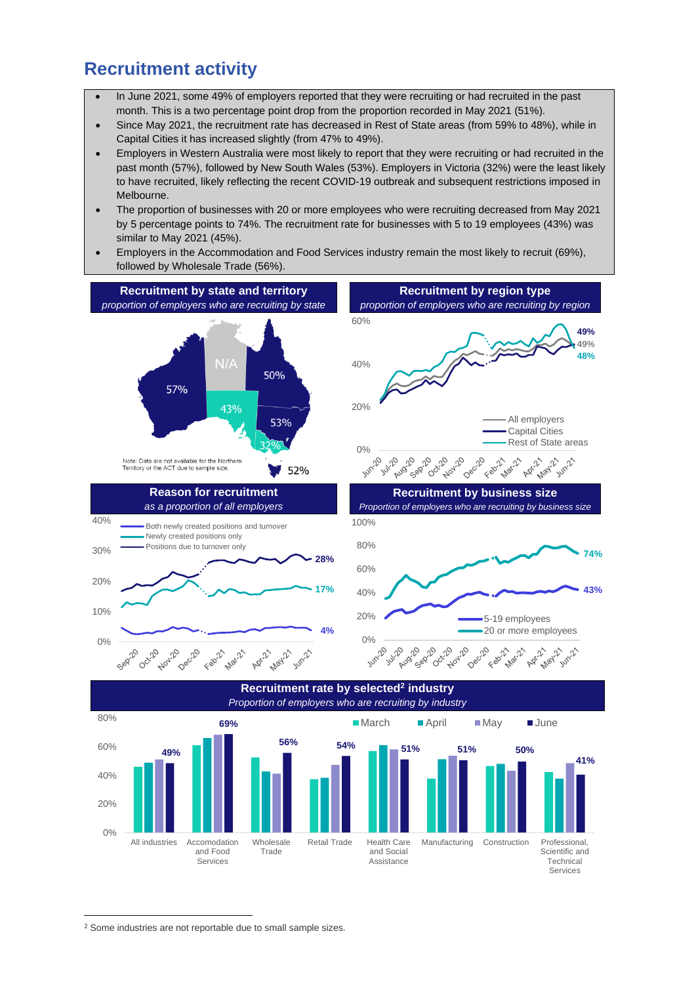#### **Recruitment activity**

- In June 2021, some 49% of employers reported that they were recruiting or had recruited in the past month. This is a two percentage point drop from the proportion recorded in May 2021 (51%).
- Since May 2021, the recruitment rate has decreased in Rest of State areas (from 59% to 48%), while in Capital Cities it has increased slightly (from 47% to 49%).
- Employers in Western Australia were most likely to report that they were recruiting or had recruited in the past month (57%), followed by New South Wales (53%). Employers in Victoria (32%) were the least likely to have recruited, likely reflecting the recent COVID-19 outbreak and subsequent restrictions imposed in Melbourne.
- The proportion of businesses with 20 or more employees who were recruiting decreased from May 2021 by 5 percentage points to 74%. The recruitment rate for businesses with 5 to 19 employees (43%) was similar to May 2021 (45%).
- Employers in the Accommodation and Food Services industry remain the most likely to recruit (69%), followed by Wholesale Trade (56%).



<sup>2</sup> Some industries are not reportable due to small sample sizes.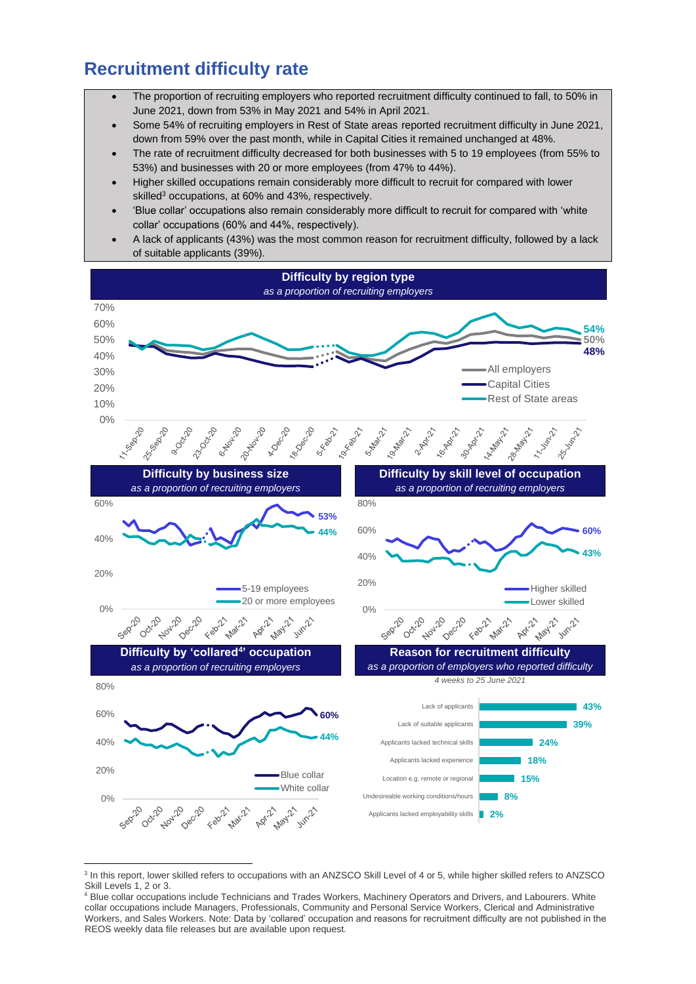#### **Recruitment difficulty rate**

- The proportion of recruiting employers who reported recruitment difficulty continued to fall, to 50% in June 2021, down from 53% in May 2021 and 54% in April 2021.
- Some 54% of recruiting employers in Rest of State areas reported recruitment difficulty in June 2021, down from 59% over the past month, while in Capital Cities it remained unchanged at 48%.
- The rate of recruitment difficulty decreased for both businesses with 5 to 19 employees (from 55% to 53%) and businesses with 20 or more employees (from 47% to 44%).
- Higher skilled occupations remain considerably more difficult to recruit for compared with lower skilled<sup>3</sup> occupations, at 60% and 43%, respectively.
- 'Blue collar' occupations also remain considerably more difficult to recruit for compared with 'white collar' occupations (60% and 44%, respectively).
- A lack of applicants (43%) was the most common reason for recruitment difficulty, followed by a lack of suitable applicants (39%).



<sup>&</sup>lt;sup>3</sup> In this report, lower skilled refers to occupations with an ANZSCO Skill Level of 4 or 5, while higher skilled refers to ANZSCO Skill Levels 1, 2 or 3.

<sup>4</sup> Blue collar occupations include Technicians and Trades Workers, Machinery Operators and Drivers, and Labourers. White collar occupations include Managers, Professionals, Community and Personal Service Workers, Clerical and Administrative Workers, and Sales Workers. Note: Data by 'collared' occupation and reasons for recruitment difficulty are not published in the REOS weekly data file releases but are available upon request.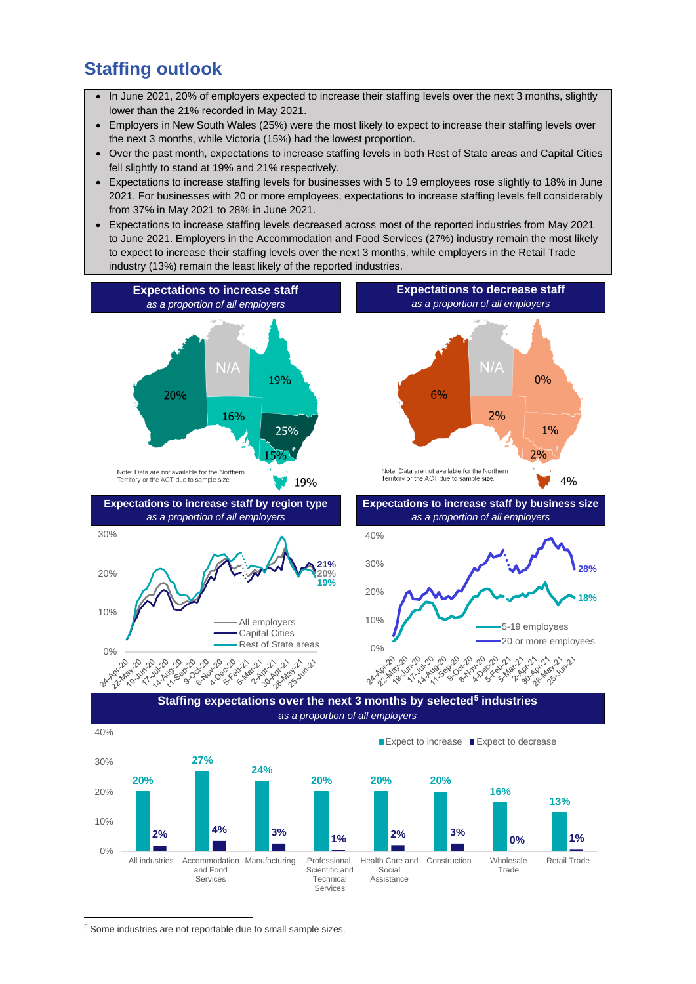#### **Staffing outlook**

- In June 2021, 20% of employers expected to increase their staffing levels over the next 3 months, slightly lower than the 21% recorded in May 2021.
- Employers in New South Wales (25%) were the most likely to expect to increase their staffing levels over the next 3 months, while Victoria (15%) had the lowest proportion.
- Over the past month, expectations to increase staffing levels in both Rest of State areas and Capital Cities fell slightly to stand at 19% and 21% respectively.
- Expectations to increase staffing levels for businesses with 5 to 19 employees rose slightly to 18% in June 2021. For businesses with 20 or more employees, expectations to increase staffing levels fell considerably from 37% in May 2021 to 28% in June 2021.
- Expectations to increase staffing levels decreased across most of the reported industries from May 2021 to June 2021. Employers in the Accommodation and Food Services (27%) industry remain the most likely to expect to increase their staffing levels over the next 3 months, while employers in the Retail Trade industry (13%) remain the least likely of the reported industries.



<sup>5</sup> Some industries are not reportable due to small sample sizes.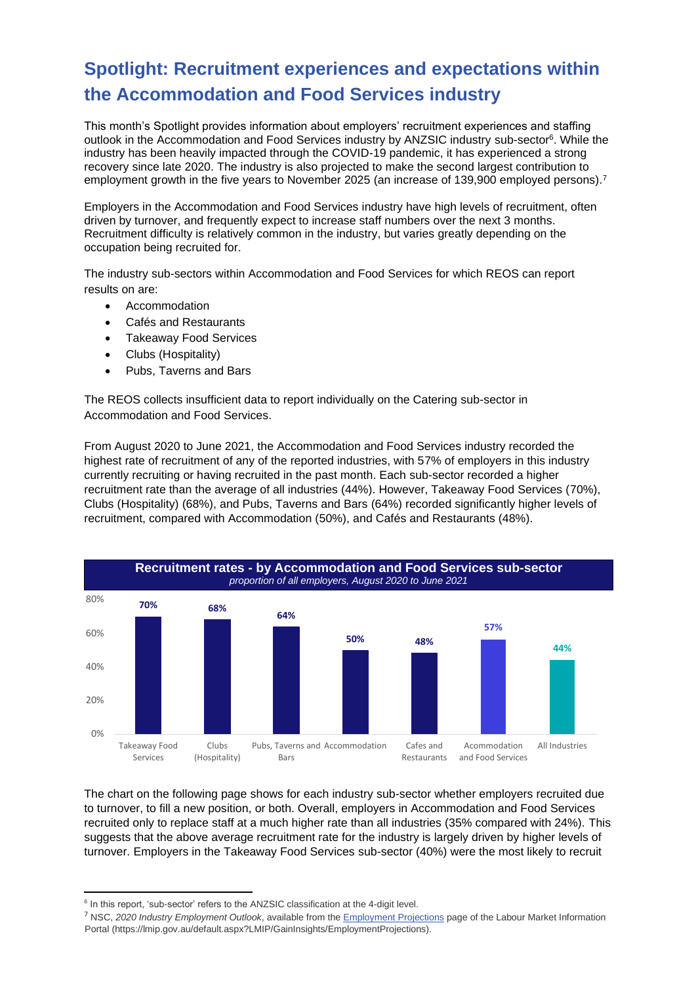## **Spotlight: Recruitment experiences and expectations within the Accommodation and Food Services industry**

This month's Spotlight provides information about employers' recruitment experiences and staffing outlook in the Accommodation and Food Services industry by ANZSIC industry sub-sector<sup>6</sup>. While the industry has been heavily impacted through the COVID-19 pandemic, it has experienced a strong recovery since late 2020. The industry is also projected to make the second largest contribution to employment growth in the five years to November 2025 (an increase of 139,900 employed persons).<sup>7</sup>

Employers in the Accommodation and Food Services industry have high levels of recruitment, often driven by turnover, and frequently expect to increase staff numbers over the next 3 months. Recruitment difficulty is relatively common in the industry, but varies greatly depending on the occupation being recruited for.

The industry sub-sectors within Accommodation and Food Services for which REOS can report results on are:

- Accommodation
- Cafés and Restaurants
- Takeaway Food Services
- Clubs (Hospitality)
- Pubs, Taverns and Bars

The REOS collects insufficient data to report individually on the Catering sub-sector in Accommodation and Food Services.

From August 2020 to June 2021, the Accommodation and Food Services industry recorded the highest rate of recruitment of any of the reported industries, with 57% of employers in this industry currently recruiting or having recruited in the past month. Each sub-sector recorded a higher recruitment rate than the average of all industries (44%). However, Takeaway Food Services (70%), Clubs (Hospitality) (68%), and Pubs, Taverns and Bars (64%) recorded significantly higher levels of recruitment, compared with Accommodation (50%), and Cafés and Restaurants (48%).



The chart on the following page shows for each industry sub-sector whether employers recruited due to turnover, to fill a new position, or both. Overall, employers in Accommodation and Food Services recruited only to replace staff at a much higher rate than all industries (35% compared with 24%). This suggests that the above average recruitment rate for the industry is largely driven by higher levels of turnover. Employers in the Takeaway Food Services sub-sector (40%) were the most likely to recruit

<sup>&</sup>lt;sup>6</sup> In this report, 'sub-sector' refers to the ANZSIC classification at the 4-digit level.

<sup>7</sup> NSC, *2020 Industry Employment Outlook*, available from th[e Employment Projections](https://lmip.gov.au/default.aspx?LMIP/GainInsights/EmploymentProjections) page of the Labour Market Information Portal (https://lmip.gov.au/default.aspx?LMIP/GainInsights/EmploymentProjections).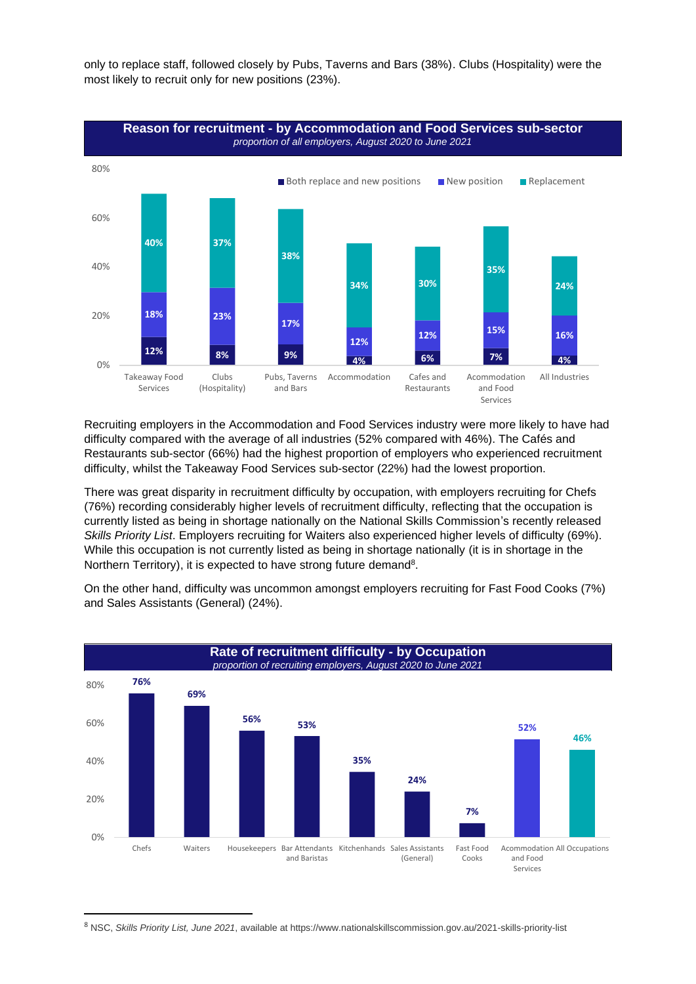only to replace staff, followed closely by Pubs, Taverns and Bars (38%). Clubs (Hospitality) were the most likely to recruit only for new positions (23%).



Recruiting employers in the Accommodation and Food Services industry were more likely to have had difficulty compared with the average of all industries (52% compared with 46%). The Cafés and Restaurants sub-sector (66%) had the highest proportion of employers who experienced recruitment difficulty, whilst the Takeaway Food Services sub-sector (22%) had the lowest proportion.

There was great disparity in recruitment difficulty by occupation, with employers recruiting for Chefs (76%) recording considerably higher levels of recruitment difficulty, reflecting that the occupation is currently listed as being in shortage nationally on the National Skills Commission's recently released *Skills Priority List*. Employers recruiting for Waiters also experienced higher levels of difficulty (69%). While this occupation is not currently listed as being in shortage nationally (it is in shortage in the Northern Territory), it is expected to have strong future demand<sup>8</sup>.

On the other hand, difficulty was uncommon amongst employers recruiting for Fast Food Cooks (7%) and Sales Assistants (General) (24%).



<sup>8</sup> NSC, *Skills Priority List, June 2021*, available at https://www.nationalskillscommission.gov.au/2021-skills-priority-list